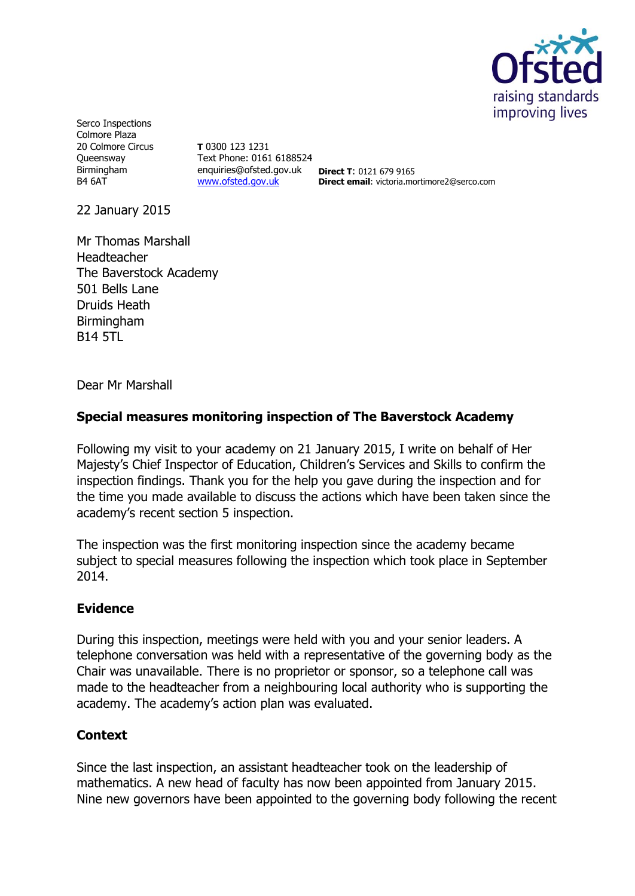

Serco Inspections Colmore Plaza 20 Colmore Circus Queensway Birmingham B4 6AT

**T** 0300 123 1231 Text Phone: 0161 6188524 enquiries@ofsted.gov.uk **Direct T**: 0121 679 9165 [www.ofsted.gov.uk](http://www.ofsted.gov.uk/)

**Direct email**: victoria.mortimore2@serco.com

22 January 2015

Mr Thomas Marshall Headteacher The Baverstock Academy 501 Bells Lane Druids Heath Birmingham B14 5TL

Dear Mr Marshall

## **Special measures monitoring inspection of The Baverstock Academy**

Following my visit to your academy on 21 January 2015, I write on behalf of Her Majesty's Chief Inspector of Education, Children's Services and Skills to confirm the inspection findings. Thank you for the help you gave during the inspection and for the time you made available to discuss the actions which have been taken since the academy's recent section 5 inspection.

The inspection was the first monitoring inspection since the academy became subject to special measures following the inspection which took place in September 2014.

#### **Evidence**

During this inspection, meetings were held with you and your senior leaders. A telephone conversation was held with a representative of the governing body as the Chair was unavailable. There is no proprietor or sponsor, so a telephone call was made to the headteacher from a neighbouring local authority who is supporting the academy. The academy's action plan was evaluated.

# **Context**

Since the last inspection, an assistant headteacher took on the leadership of mathematics. A new head of faculty has now been appointed from January 2015. Nine new governors have been appointed to the governing body following the recent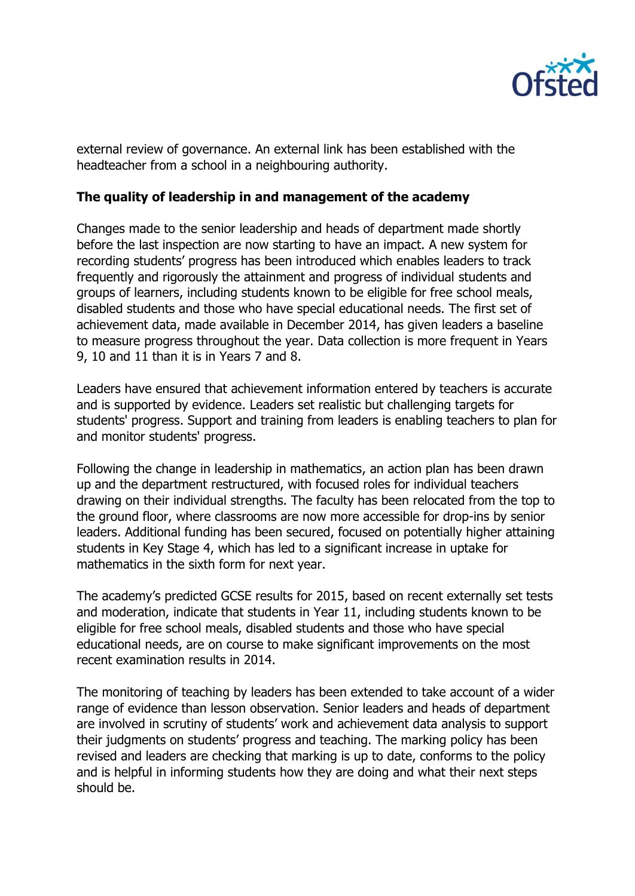

external review of governance. An external link has been established with the headteacher from a school in a neighbouring authority.

#### **The quality of leadership in and management of the academy**

Changes made to the senior leadership and heads of department made shortly before the last inspection are now starting to have an impact. A new system for recording students' progress has been introduced which enables leaders to track frequently and rigorously the attainment and progress of individual students and groups of learners, including students known to be eligible for free school meals, disabled students and those who have special educational needs. The first set of achievement data, made available in December 2014, has given leaders a baseline to measure progress throughout the year. Data collection is more frequent in Years 9, 10 and 11 than it is in Years 7 and 8.

Leaders have ensured that achievement information entered by teachers is accurate and is supported by evidence. Leaders set realistic but challenging targets for students' progress. Support and training from leaders is enabling teachers to plan for and monitor students' progress.

Following the change in leadership in mathematics, an action plan has been drawn up and the department restructured, with focused roles for individual teachers drawing on their individual strengths. The faculty has been relocated from the top to the ground floor, where classrooms are now more accessible for drop-ins by senior leaders. Additional funding has been secured, focused on potentially higher attaining students in Key Stage 4, which has led to a significant increase in uptake for mathematics in the sixth form for next year.

The academy's predicted GCSE results for 2015, based on recent externally set tests and moderation, indicate that students in Year 11, including students known to be eligible for free school meals, disabled students and those who have special educational needs, are on course to make significant improvements on the most recent examination results in 2014.

The monitoring of teaching by leaders has been extended to take account of a wider range of evidence than lesson observation. Senior leaders and heads of department are involved in scrutiny of students' work and achievement data analysis to support their judgments on students' progress and teaching. The marking policy has been revised and leaders are checking that marking is up to date, conforms to the policy and is helpful in informing students how they are doing and what their next steps should be.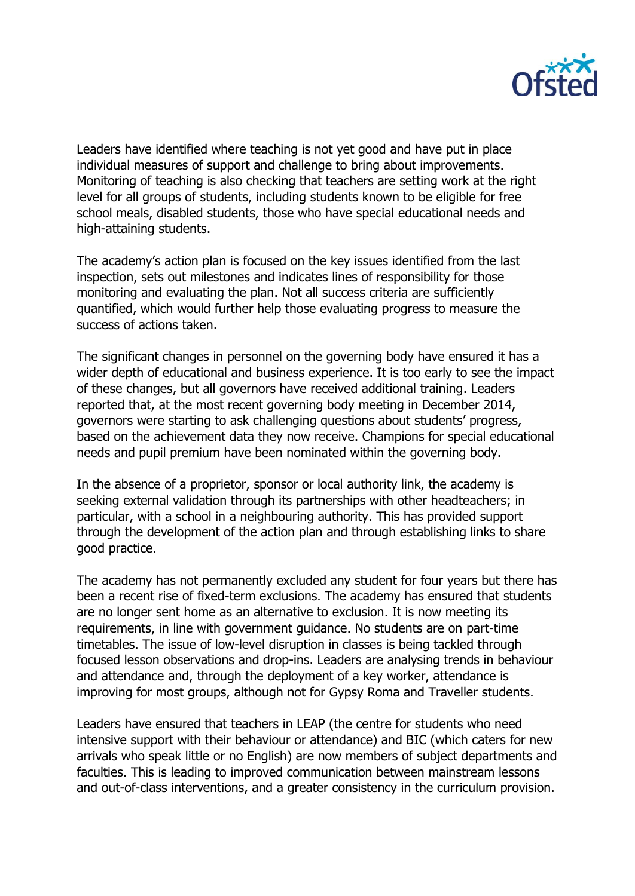

Leaders have identified where teaching is not yet good and have put in place individual measures of support and challenge to bring about improvements. Monitoring of teaching is also checking that teachers are setting work at the right level for all groups of students, including students known to be eligible for free school meals, disabled students, those who have special educational needs and high-attaining students.

The academy's action plan is focused on the key issues identified from the last inspection, sets out milestones and indicates lines of responsibility for those monitoring and evaluating the plan. Not all success criteria are sufficiently quantified, which would further help those evaluating progress to measure the success of actions taken.

The significant changes in personnel on the governing body have ensured it has a wider depth of educational and business experience. It is too early to see the impact of these changes, but all governors have received additional training. Leaders reported that, at the most recent governing body meeting in December 2014, governors were starting to ask challenging questions about students' progress, based on the achievement data they now receive. Champions for special educational needs and pupil premium have been nominated within the governing body.

In the absence of a proprietor, sponsor or local authority link, the academy is seeking external validation through its partnerships with other headteachers; in particular, with a school in a neighbouring authority. This has provided support through the development of the action plan and through establishing links to share good practice.

The academy has not permanently excluded any student for four years but there has been a recent rise of fixed-term exclusions. The academy has ensured that students are no longer sent home as an alternative to exclusion. It is now meeting its requirements, in line with government guidance. No students are on part-time timetables. The issue of low-level disruption in classes is being tackled through focused lesson observations and drop-ins. Leaders are analysing trends in behaviour and attendance and, through the deployment of a key worker, attendance is improving for most groups, although not for Gypsy Roma and Traveller students.

Leaders have ensured that teachers in LEAP (the centre for students who need intensive support with their behaviour or attendance) and BIC (which caters for new arrivals who speak little or no English) are now members of subject departments and faculties. This is leading to improved communication between mainstream lessons and out-of-class interventions, and a greater consistency in the curriculum provision.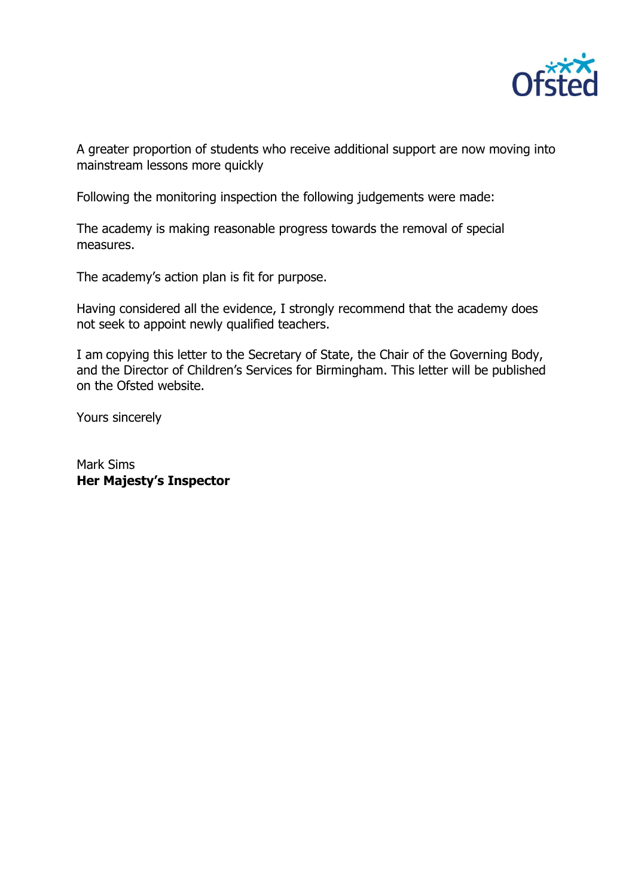

A greater proportion of students who receive additional support are now moving into mainstream lessons more quickly

Following the monitoring inspection the following judgements were made:

The academy is making reasonable progress towards the removal of special measures.

The academy's action plan is fit for purpose.

Having considered all the evidence, I strongly recommend that the academy does not seek to appoint newly qualified teachers.

I am copying this letter to the Secretary of State, the Chair of the Governing Body, and the Director of Children's Services for Birmingham. This letter will be published on the Ofsted website.

Yours sincerely

Mark Sims **Her Majesty's Inspector**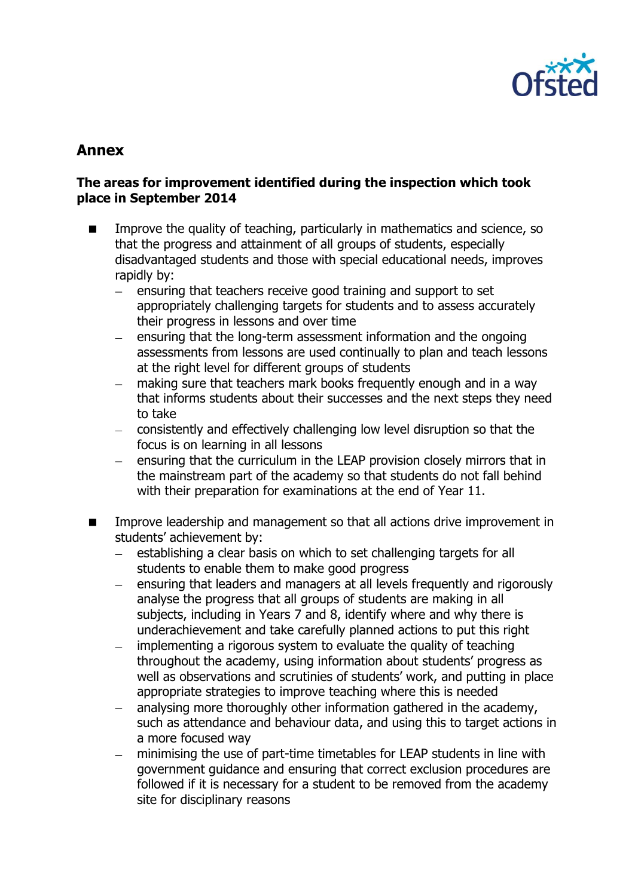

# **Annex**

### **The areas for improvement identified during the inspection which took place in September 2014**

- Improve the quality of teaching, particularly in mathematics and science, so that the progress and attainment of all groups of students, especially disadvantaged students and those with special educational needs, improves rapidly by:
	- $\equiv$ ensuring that teachers receive good training and support to set appropriately challenging targets for students and to assess accurately their progress in lessons and over time
	- ensuring that the long-term assessment information and the ongoing assessments from lessons are used continually to plan and teach lessons at the right level for different groups of students
	- making sure that teachers mark books frequently enough and in a way that informs students about their successes and the next steps they need to take
	- consistently and effectively challenging low level disruption so that the  $\frac{1}{2}$ focus is on learning in all lessons
	- $\equiv$ ensuring that the curriculum in the LEAP provision closely mirrors that in the mainstream part of the academy so that students do not fall behind with their preparation for examinations at the end of Year 11.
- Improve leadership and management so that all actions drive improvement in students' achievement by:
	- $\equiv$ establishing a clear basis on which to set challenging targets for all students to enable them to make good progress
	- ensuring that leaders and managers at all levels frequently and rigorously  $\,$ analyse the progress that all groups of students are making in all subjects, including in Years 7 and 8, identify where and why there is underachievement and take carefully planned actions to put this right
	- implementing a rigorous system to evaluate the quality of teaching  $\equiv$ throughout the academy, using information about students' progress as well as observations and scrutinies of students' work, and putting in place appropriate strategies to improve teaching where this is needed
	- analysing more thoroughly other information gathered in the academy,  $\equiv$ such as attendance and behaviour data, and using this to target actions in a more focused way
	- minimising the use of part-time timetables for LEAP students in line with  $\equiv$ government guidance and ensuring that correct exclusion procedures are followed if it is necessary for a student to be removed from the academy site for disciplinary reasons